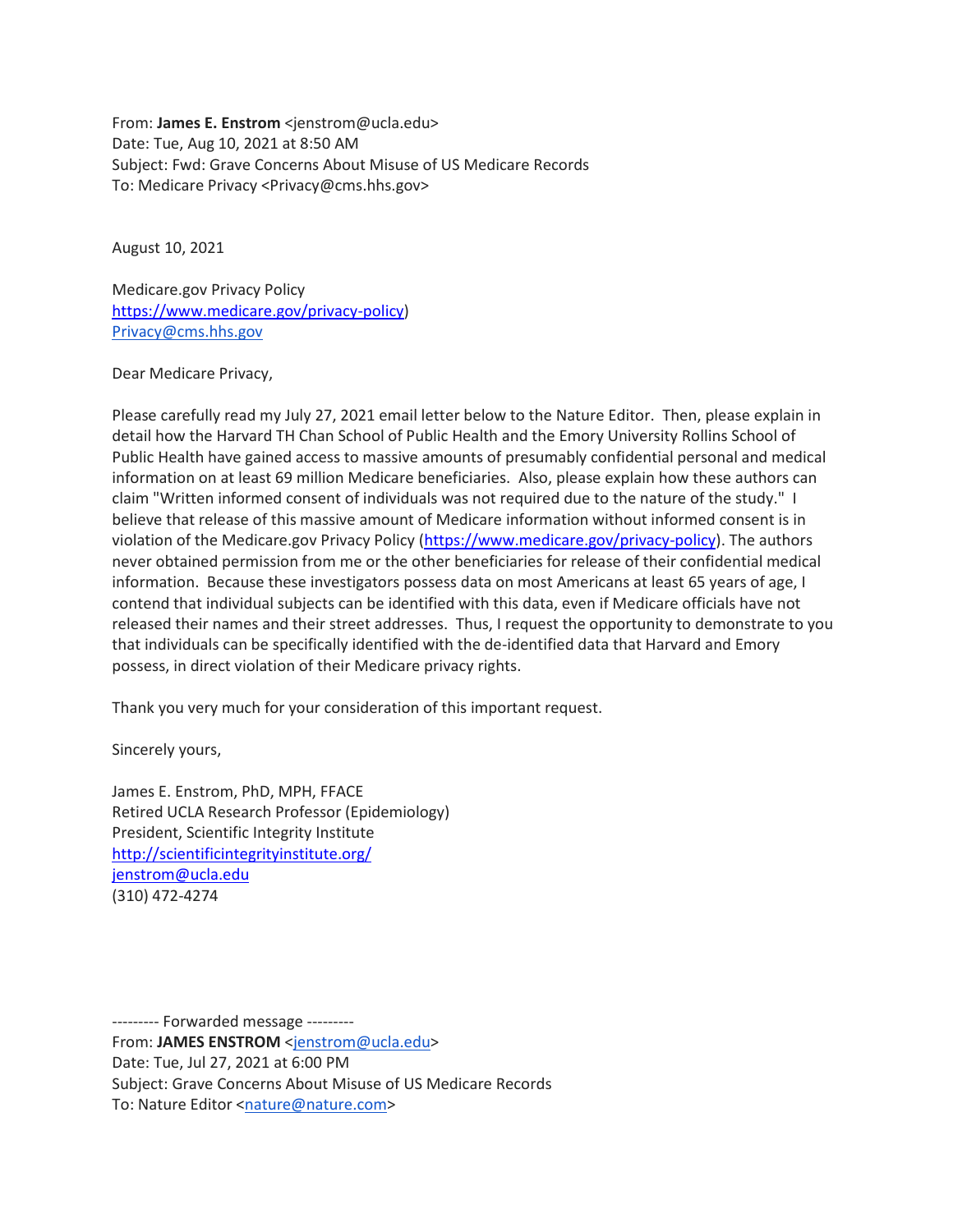From: **James E. Enstrom** <jenstrom@ucla.edu> Date: Tue, Aug 10, 2021 at 8:50 AM Subject: Fwd: Grave Concerns About Misuse of US Medicare Records To: Medicare Privacy <Privacy@cms.hhs.gov>

August 10, 2021

Medicare.gov Privacy Policy [https://www.medicare.gov/privacy-policy\)](https://www.medicare.gov/privacy-policy) [Privacy@cms.hhs.gov](mailto:Privacy@cms.hhs.gov)

Dear Medicare Privacy,

Please carefully read my July 27, 2021 email letter below to the Nature Editor. Then, please explain in detail how the Harvard TH Chan School of Public Health and the Emory University Rollins School of Public Health have gained access to massive amounts of presumably confidential personal and medical information on at least 69 million Medicare beneficiaries. Also, please explain how these authors can claim "Written informed consent of individuals was not required due to the nature of the study." I believe that release of this massive amount of Medicare information without informed consent is in violation of the Medicare.gov Privacy Policy [\(https://www.medicare.gov/privacy-policy\)](https://www.medicare.gov/privacy-policy). The authors never obtained permission from me or the other beneficiaries for release of their confidential medical information. Because these investigators possess data on most Americans at least 65 years of age, I contend that individual subjects can be identified with this data, even if Medicare officials have not released their names and their street addresses. Thus, I request the opportunity to demonstrate to you that individuals can be specifically identified with the de-identified data that Harvard and Emory possess, in direct violation of their Medicare privacy rights.

Thank you very much for your consideration of this important request.

Sincerely yours,

James E. Enstrom, PhD, MPH, FFACE Retired UCLA Research Professor (Epidemiology) President, Scientific Integrity Institute <http://scientificintegrityinstitute.org/> [jenstrom@ucla.edu](mailto:jenstrom@ucla.edu) (310) 472-4274

--------- Forwarded message --------- From: **JAMES ENSTROM** [<jenstrom@ucla.edu>](mailto:jenstrom@ucla.edu) Date: Tue, Jul 27, 2021 at 6:00 PM Subject: Grave Concerns About Misuse of US Medicare Records To: Nature Editor [<nature@nature.com>](mailto:nature@nature.com)